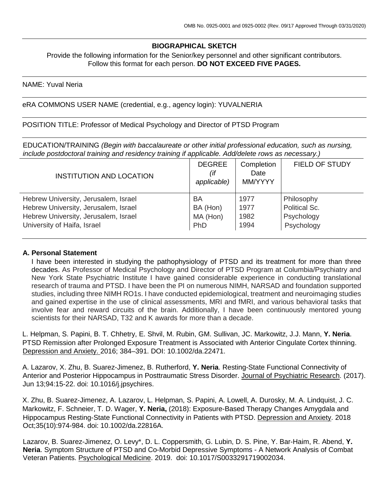## **BIOGRAPHICAL SKETCH**

Provide the following information for the Senior/key personnel and other significant contributors. Follow this format for each person. **DO NOT EXCEED FIVE PAGES.**

#### NAME: Yuval Neria

eRA COMMONS USER NAME (credential, e.g., agency login): YUVALNERIA

POSITION TITLE: Professor of Medical Psychology and Director of PTSD Program

EDUCATION/TRAINING *(Begin with baccalaureate or other initial professional education, such as nursing, include postdoctoral training and residency training if applicable. Add/delete rows as necessary.)*

| <b>INSTITUTION AND LOCATION</b>      | <b>DEGREE</b><br>(if<br>applicable) | Completion<br>Date<br>MM/YYYY | <b>FIELD OF STUDY</b> |
|--------------------------------------|-------------------------------------|-------------------------------|-----------------------|
| Hebrew University, Jerusalem, Israel | BA                                  | 1977                          | Philosophy            |
| Hebrew University, Jerusalem, Israel | BA (Hon)                            | 1977                          | Political Sc.         |
| Hebrew University, Jerusalem, Israel | MA (Hon)                            | 1982                          | Psychology            |
| University of Haifa, Israel          | PhD                                 | 1994                          | Psychology            |

#### **A. Personal Statement**

I have been interested in studying the pathophysiology of PTSD and its treatment for more than three decades. As Professor of Medical Psychology and Director of PTSD Program at Columbia/Psychiatry and New York State Psychiatric Institute I have gained considerable experience in conducting translational research of trauma and PTSD. I have been the PI on numerous NIMH, NARSAD and foundation supported studies, including three NIMH RO1s. I have conducted epidemiological, treatment and neuroimaging studies and gained expertise in the use of clinical assessments, MRI and fMRI, and various behavioral tasks that involve fear and reward circuits of the brain. Additionally, I have been continuously mentored young scientists for their NARSAD, T32 and K awards for more than a decade.

L. Helpman, S. Papini, B. T. Chhetry, E. Shvil, M. Rubin, GM. Sullivan, JC. Markowitz, J.J. Mann, **Y. Neria**. PTSD Remission after Prolonged Exposure Treatment is Associated with Anterior Cingulate Cortex thinning. Depression and Anxiety. 2016; 384–391. DOI: 10.1002/da.22471.

A. Lazarov, X. Zhu, B. Suarez-Jimenez, B. Rutherford, **Y. Neria**. Resting-State Functional Connectivity of Anterior and Posterior Hippocampus in Posttraumatic Stress Disorder. Journal of Psychiatric Research. (2017). Jun 13;94:15-22. doi: 10.1016/j.jpsychires.

X. Zhu, B. Suarez-Jimenez, A. Lazarov, L. Helpman, S. Papini, A. Lowell, A. Durosky, M. A. Lindquist, J. C. Markowitz, F. Schneier, T. D. Wager, **Y. Neria,** (2018): Exposure-Based Therapy Changes Amygdala and Hippocampus Resting-State Functional Connectivity in Patients with PTSD. Depression and Anxiety. 2018 Oct;35(10):974-984. doi: 10.1002/da.22816A.

Lazarov, B. Suarez-Jimenez, O. Levy\*, D. L. Coppersmith, G. Lubin, D. S. Pine, Y. Bar-Haim, R. Abend, **Y. Neria**. Symptom Structure of PTSD and Co-Morbid Depressive Symptoms - A Network Analysis of Combat Veteran Patients. Psychological Medicine. 2019. doi: 10.1017/S0033291719002034.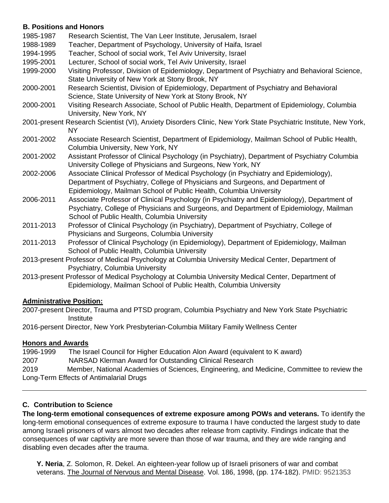## **B. Positions and Honors**

| 1985-1987 | Research Scientist, The Van Leer Institute, Jerusalem, Israel                                                                                                                                                                                 |
|-----------|-----------------------------------------------------------------------------------------------------------------------------------------------------------------------------------------------------------------------------------------------|
| 1988-1989 | Teacher, Department of Psychology, University of Haifa, Israel                                                                                                                                                                                |
| 1994-1995 | Teacher, School of social work, Tel Aviv University, Israel                                                                                                                                                                                   |
| 1995-2001 | Lecturer, School of social work, Tel Aviv University, Israel                                                                                                                                                                                  |
| 1999-2000 | Visiting Professor, Division of Epidemiology, Department of Psychiatry and Behavioral Science,<br>State University of New York at Stony Brook, NY                                                                                             |
| 2000-2001 | Research Scientist, Division of Epidemiology, Department of Psychiatry and Behavioral<br>Science, State University of New York at Stony Brook, NY                                                                                             |
| 2000-2001 | Visiting Research Associate, School of Public Health, Department of Epidemiology, Columbia<br>University, New York, NY                                                                                                                        |
|           | 2001-present Research Scientist (VI), Anxiety Disorders Clinic, New York State Psychiatric Institute, New York,<br><b>NY</b>                                                                                                                  |
| 2001-2002 | Associate Research Scientist, Department of Epidemiology, Mailman School of Public Health,<br>Columbia University, New York, NY                                                                                                               |
| 2001-2002 | Assistant Professor of Clinical Psychology (in Psychiatry), Department of Psychiatry Columbia<br>University College of Physicians and Surgeons, New York, NY                                                                                  |
| 2002-2006 | Associate Clinical Professor of Medical Psychology (in Psychiatry and Epidemiology),<br>Department of Psychiatry, College of Physicians and Surgeons, and Department of<br>Epidemiology, Mailman School of Public Health, Columbia University |
| 2006-2011 | Associate Professor of Clinical Psychology (in Psychiatry and Epidemiology), Department of<br>Psychiatry, College of Physicians and Surgeons, and Department of Epidemiology, Mailman<br>School of Public Health, Columbia University         |
| 2011-2013 | Professor of Clinical Psychology (in Psychiatry), Department of Psychiatry, College of<br>Physicians and Surgeons, Columbia University                                                                                                        |
| 2011-2013 | Professor of Clinical Psychology (in Epidemiology), Department of Epidemiology, Mailman<br>School of Public Health, Columbia University                                                                                                       |
|           | 2013-present Professor of Medical Psychology at Columbia University Medical Center, Department of<br>Psychiatry, Columbia University                                                                                                          |
|           |                                                                                                                                                                                                                                               |

2013-present Professor of Medical Psychology at Columbia University Medical Center, Department of Epidemiology, Mailman School of Public Health, Columbia University

# **Administrative Position:**

2007-present Director, Trauma and PTSD program, Columbia Psychiatry and New York State Psychiatric **Institute** 

2016-persent Director, New York Presbyterian-Columbia Military Family Wellness Center

# **Honors and Awards**

| 1996-1999 | The Israel Council for Higher Education Alon Award (equivalent to K award)                 |
|-----------|--------------------------------------------------------------------------------------------|
| 2007      | NARSAD Klerman Award for Outstanding Clinical Research                                     |
| 2019      | Member, National Academies of Sciences, Engineering, and Medicine, Committee to review the |
|           | Long-Term Effects of Antimalarial Drugs                                                    |

# **C. Contribution to Science**

**The long-term emotional consequences of extreme exposure among POWs and veterans.** To identify the long-term emotional consequences of extreme exposure to trauma I have conducted the largest study to date among Israeli prisoners of wars almost two decades after release from captivity. Findings indicate that the consequences of war captivity are more severe than those of war trauma, and they are wide ranging and disabling even decades after the trauma.

**Y. Neria**, Z. Solomon, R. Dekel. An eighteen-year follow up of Israeli prisoners of war and combat veterans. The Journal of Nervous and Mental Disease. Vol. 186, 1998, (pp. 174-182). PMID: 9521353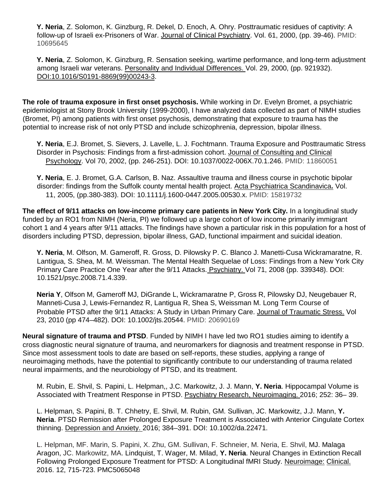**Y. Neria**, Z. Solomon, K. Ginzburg, R. Dekel, D. Enoch, A. Ohry. Posttraumatic residues of captivity: A follow-up of Israeli ex-Prisoners of War. Journal of Clinical Psychiatry. Vol. 61, 2000, (pp. 39-46). PMID: 10695645

**Y. Neria**, Z. Solomon, K. Ginzburg, R. Sensation seeking, wartime performance, and long-term adjustment among Israeli war veterans. Personality and Individual Differences. Vol. 29, 2000, (pp. 921932). [DOI:10.1016/S0191-8869\(99\)00243-3.](http://dx.doi.org/10.1016/S0191-8869(99)00243-3)

**The role of trauma exposure in first onset psychosis.** While working in Dr. Evelyn Bromet, a psychiatric epidemiologist at Stony Brook University (1999-2000), I have analyzed data collected as part of NIMH studies (Bromet, PI) among patients with first onset psychosis, demonstrating that exposure to trauma has the potential to increase risk of not only PTSD and include schizophrenia, depression, bipolar illness.

**Y. Neria**, E.J. Bromet, S. Sievers, J. Lavelle, L. J. Fochtmann. Trauma Exposure and Posttraumatic Stress Disorder in Psychosis: Findings from a first-admission cohort. Journal of Consulting and Clinical Psychology. Vol 70, 2002, (pp. 246-251). DOI: 10.1037/0022-006X.70.1.246. PMID: 11860051

**Y. Neria**, E. J. Bromet, G.A. Carlson, B. Naz. Assaultive trauma and illness course in psychotic bipolar disorder: findings from the Suffolk county mental health project. [Acta Psychiatrica Scandinavica](http://www.wiley.com/bw/journal.asp?ref=0001-690x)**[.](http://www.wiley.com/bw/journal.asp?ref=0001-690x)** Vol. 11, 2005, (pp.380-383). DOI: 10.1111/j.1600-0447.2005.00530.x. PMID: 15819732

**The effect of 9/11 attacks on low-income primary care patients in New York City.** In a longitudinal study funded by an RO1 from NIMH (Neria, PI) we followed up a large cohort of low income primarily immigrant cohort 1 and 4 years after 9/11 attacks. The findings have shown a particular risk in this population for a host of disorders including PTSD, depression, bipolar illness, GAD, functional impairment and suicidal ideation.

**Y. Neria**, M. Olfson, M. Gameroff, R. Gross, D. Pilowsky P. C. Blanco J. Manetti-Cusa Wickramaratne, R. Lantigua, S. Shea, M. M. Weissman. The Mental Health Sequelae of Loss: Findings from a New York City Primary Care Practice One Year after the 9/11 Attacks. Psychiatry. Vol 71, 2008 (pp. 339348). DOI: 10.1521/psyc.2008.71.4.339.

**Neria Y**, Olfson M, Gameroff MJ, DiGrande L, Wickramaratne P, Gross R, Pilowsky DJ, Neugebauer R, Manneti-Cusa J, Lewis-Fernandez R, Lantigua R, Shea S, Weissman M. Long Term Course of Probable PTSD after the 9/11 Attacks: A Study in Urban Primary Care. Journal of Traumatic Stress. Vol 23, 2010 (pp 474–482). DOI: 10.1002/jts.20544. PMID: 20690169

**Neural signature of trauma and PTSD**. Funded by NIMH I have led two RO1 studies aiming to identify a cross diagnostic neural signature of trauma, and neuromarkers for diagnosis and treatment response in PTSD. Since most assessment tools to date are based on self-reports, these studies, applying a range of neuroimaging methods, have the potential to significantly contribute to our understanding of trauma related neural impairments, and the neurobiology of PTSD, and its treatment.

M. Rubin, E. Shvil, S. Papini, L. Helpman,, J.C. Markowitz, J. J. Mann, **Y. Neria**. Hippocampal Volume is Associated with Treatment Response in PTSD. Psychiatry Research, Neuroimaging. [2016;](http://www.psyn-journal.com/issue/S0925-4927(16)X0006-6) 252: 36– 39.

L. Helpman, S. Papini, B. T. Chhetry, E. Shvil, M. Rubin, GM. Sullivan, JC. Markowitz, J.J. Mann, **Y. Neria**. PTSD Remission after Prolonged Exposure Treatment is Associated with Anterior Cingulate Cortex thinning. Depression and Anxiety. 2016; 384–391. DOI: 10.1002/da.22471.

L. Helpman, MF. Marin, S. Papini, X. Zhu, GM. Sullivan, F. Schneier, M. Neria, E. Shvil, MJ. Malaga Aragon, JC. Markowitz, MA. Lindquist, T. Wager, M. Milad, **Y. Neria**. Neural Changes in Extinction Recall Following Prolonged Exposure Treatment for PTSD: A Longitudinal fMRI Study. Neuroimage: Clinical. 2016. 12, 715-723. PMC5065048